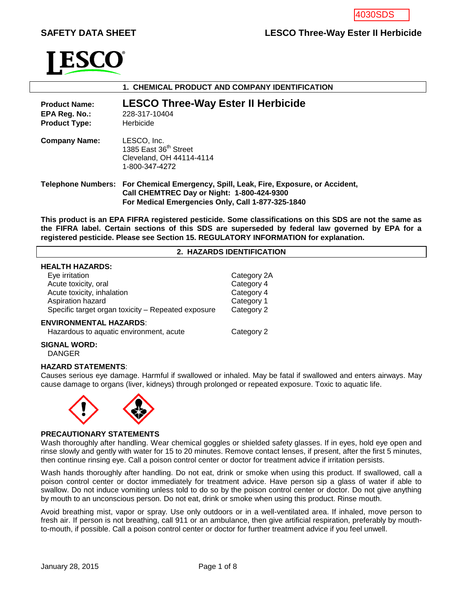# **SAFETY DATA SHEET LESCO Three-Way Ester II Herbicide**



| 1. CHEMICAL PRODUCT AND COMPANY IDENTIFICATION                |                                                                                                                                                                                         |  |  |  |
|---------------------------------------------------------------|-----------------------------------------------------------------------------------------------------------------------------------------------------------------------------------------|--|--|--|
| <b>Product Name:</b><br>EPA Reg. No.:<br><b>Product Type:</b> | <b>LESCO Three-Way Ester II Herbicide</b><br>228-317-10404<br>Herbicide                                                                                                                 |  |  |  |
| <b>Company Name:</b>                                          | LESCO, Inc.<br>1385 East 36 <sup>th</sup> Street<br>Cleveland, OH 44114-4114<br>1-800-347-4272                                                                                          |  |  |  |
|                                                               | Telephone Numbers: For Chemical Emergency, Spill, Leak, Fire, Exposure, or Accident,<br>Call CHEMTREC Day or Night: 1-800-424-9300<br>For Medical Emergencies Only, Call 1-877-325-1840 |  |  |  |

**This product is an EPA FIFRA registered pesticide. Some classifications on this SDS are not the same as the FIFRA label. Certain sections of this SDS are superseded by federal law governed by EPA for a registered pesticide. Please see Section 15. REGULATORY INFORMATION for explanation.**

## **2. HAZARDS IDENTIFICATION**

## **HEALTH HAZARDS:**

| Eye irritation                                     | Category 2A |
|----------------------------------------------------|-------------|
| Acute toxicity, oral                               | Category 4  |
| Acute toxicity, inhalation                         | Category 4  |
| Aspiration hazard                                  | Category 1  |
| Specific target organ toxicity - Repeated exposure | Category 2  |
| <b>ENVIRONMENTAL HAZARDS:</b>                      |             |
| Hazardous to aquatic environment, acute            | Category 2  |

### **SIGNAL WORD:**

DANGER

#### **HAZARD STATEMENTS**:

Causes serious eye damage. Harmful if swallowed or inhaled. May be fatal if swallowed and enters airways. May cause damage to organs (liver, kidneys) through prolonged or repeated exposure. Toxic to aquatic life.



#### **PRECAUTIONARY STATEMENTS**

Wash thoroughly after handling. Wear chemical goggles or shielded safety glasses. If in eyes, hold eye open and rinse slowly and gently with water for 15 to 20 minutes. Remove contact lenses, if present, after the first 5 minutes, then continue rinsing eye. Call a poison control center or doctor for treatment advice if irritation persists.

Wash hands thoroughly after handling. Do not eat, drink or smoke when using this product. If swallowed, call a poison control center or doctor immediately for treatment advice. Have person sip a glass of water if able to swallow. Do not induce vomiting unless told to do so by the poison control center or doctor. Do not give anything by mouth to an unconscious person. Do not eat, drink or smoke when using this product. Rinse mouth.

Avoid breathing mist, vapor or spray. Use only outdoors or in a well-ventilated area. If inhaled, move person to fresh air. If person is not breathing, call 911 or an ambulance, then give artificial respiration, preferably by mouthto-mouth, if possible. Call a poison control center or doctor for further treatment advice if you feel unwell.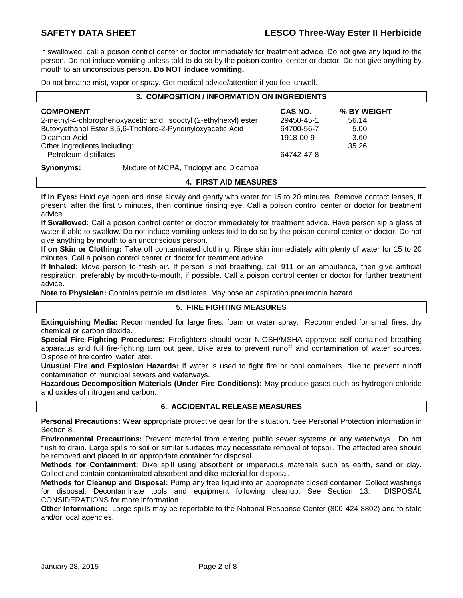If swallowed, call a poison control center or doctor immediately for treatment advice. Do not give any liquid to the person. Do not induce vomiting unless told to do so by the poison control center or doctor. Do not give anything by mouth to an unconscious person. **Do NOT induce vomiting.**

Do not breathe mist, vapor or spray. Get medical advice/attention if you feel unwell.

| 3. COMPOSITION / INFORMATION ON INGREDIENTS                        |                                        |            |             |  |
|--------------------------------------------------------------------|----------------------------------------|------------|-------------|--|
| <b>COMPONENT</b>                                                   |                                        | CAS NO.    | % BY WEIGHT |  |
| 2-methyl-4-chlorophenoxyacetic acid, isooctyl (2-ethylhexyl) ester |                                        | 29450-45-1 | 56.14       |  |
| Butoxyethanol Ester 3,5,6-Trichloro-2-Pyridinyloxyacetic Acid      |                                        | 64700-56-7 | 5.00        |  |
| Dicamba Acid                                                       |                                        | 1918-00-9  | 3.60        |  |
| Other Ingredients Including:                                       |                                        |            | 35.26       |  |
| Petroleum distillates                                              |                                        | 64742-47-8 |             |  |
| Synonyms:                                                          | Mixture of MCPA, Triclopyr and Dicamba |            |             |  |

# **4. FIRST AID MEASURES**

**If in Eyes:** Hold eye open and rinse slowly and gently with water for 15 to 20 minutes. Remove contact lenses, if present, after the first 5 minutes, then continue rinsing eye. Call a poison control center or doctor for treatment advice.

**If Swallowed:** Call a poison control center or doctor immediately for treatment advice. Have person sip a glass of water if able to swallow. Do not induce vomiting unless told to do so by the poison control center or doctor. Do not give anything by mouth to an unconscious person.

**If on Skin or Clothing:** Take off contaminated clothing. Rinse skin immediately with plenty of water for 15 to 20 minutes. Call a poison control center or doctor for treatment advice.

**If Inhaled:** Move person to fresh air. If person is not breathing, call 911 or an ambulance, then give artificial respiration, preferably by mouth-to-mouth, if possible. Call a poison control center or doctor for further treatment advice.

**Note to Physician:** Contains petroleum distillates. May pose an aspiration pneumonia hazard.

## **5. FIRE FIGHTING MEASURES**

**Extinguishing Media:** Recommended for large fires: foam or water spray. Recommended for small fires: dry chemical or carbon dioxide.

**Special Fire Fighting Procedures:** Firefighters should wear NIOSH/MSHA approved self-contained breathing apparatus and full fire-fighting turn out gear. Dike area to prevent runoff and contamination of water sources. Dispose of fire control water later.

**Unusual Fire and Explosion Hazards:** If water is used to fight fire or cool containers, dike to prevent runoff contamination of municipal sewers and waterways.

**Hazardous Decomposition Materials (Under Fire Conditions):** May produce gases such as hydrogen chloride and oxides of nitrogen and carbon.

## **6. ACCIDENTAL RELEASE MEASURES**

**Personal Precautions:** Wear appropriate protective gear for the situation. See Personal Protection information in Section 8.

**Environmental Precautions:** Prevent material from entering public sewer systems or any waterways. Do not flush to drain. Large spills to soil or similar surfaces may necessitate removal of topsoil. The affected area should be removed and placed in an appropriate container for disposal.

**Methods for Containment:** Dike spill using absorbent or impervious materials such as earth, sand or clay. Collect and contain contaminated absorbent and dike material for disposal.

**Methods for Cleanup and Disposal:** Pump any free liquid into an appropriate closed container. Collect washings for disposal. Decontaminate tools and equipment following cleanup. See Section 13: DISPOSAL CONSIDERATIONS for more information.

**Other Information:** Large spills may be reportable to the National Response Center (800-424-8802) and to state and/or local agencies.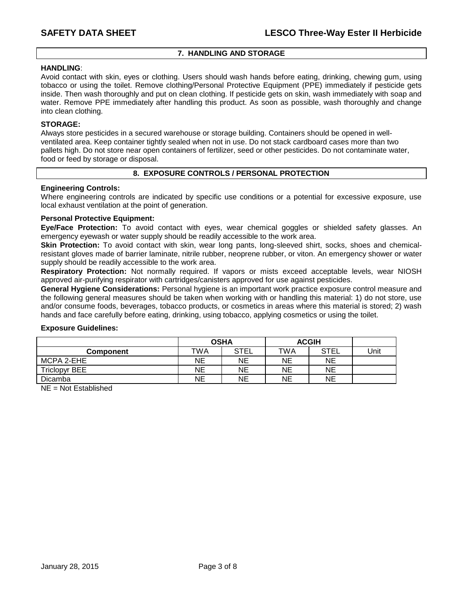## **7. HANDLING AND STORAGE**

### **HANDLING**:

Avoid contact with skin, eyes or clothing. Users should wash hands before eating, drinking, chewing gum, using tobacco or using the toilet. Remove clothing/Personal Protective Equipment (PPE) immediately if pesticide gets inside. Then wash thoroughly and put on clean clothing. If pesticide gets on skin, wash immediately with soap and water. Remove PPE immediately after handling this product. As soon as possible, wash thoroughly and change into clean clothing.

### **STORAGE:**

Always store pesticides in a secured warehouse or storage building. Containers should be opened in wellventilated area. Keep container tightly sealed when not in use. Do not stack cardboard cases more than two pallets high. Do not store near open containers of fertilizer, seed or other pesticides. Do not contaminate water, food or feed by storage or disposal.

### **8. EXPOSURE CONTROLS / PERSONAL PROTECTION**

#### **Engineering Controls:**

Where engineering controls are indicated by specific use conditions or a potential for excessive exposure, use local exhaust ventilation at the point of generation.

#### **Personal Protective Equipment:**

**Eye/Face Protection:** To avoid contact with eyes, wear chemical goggles or shielded safety glasses. An emergency eyewash or water supply should be readily accessible to the work area.

**Skin Protection:** To avoid contact with skin, wear long pants, long-sleeved shirt, socks, shoes and chemicalresistant gloves made of barrier laminate, nitrile rubber, neoprene rubber, or viton. An emergency shower or water supply should be readily accessible to the work area.

**Respiratory Protection:** Not normally required. If vapors or mists exceed acceptable levels, wear NIOSH approved air-purifying respirator with cartridges/canisters approved for use against pesticides.

**General Hygiene Considerations:** Personal hygiene is an important work practice exposure control measure and the following general measures should be taken when working with or handling this material: 1) do not store, use and/or consume foods, beverages, tobacco products, or cosmetics in areas where this material is stored; 2) wash hands and face carefully before eating, drinking, using tobacco, applying cosmetics or using the toilet.

#### **Exposure Guidelines:**

|                      | <b>OSHA</b> |             | <b>ACGIH</b> |             |      |
|----------------------|-------------|-------------|--------------|-------------|------|
| <b>Component</b>     | TWA         | <b>STEL</b> | TWA          | <b>STEL</b> | Unit |
| MCPA 2-EHE           | NΕ          | NE          | NE           | NE          |      |
| <b>Triclopyr BEE</b> | ΝE          | NE          | NE           | NE          |      |
| Dicamba              | NE          | ΝE          | <b>NE</b>    | NE          |      |

NE = Not Established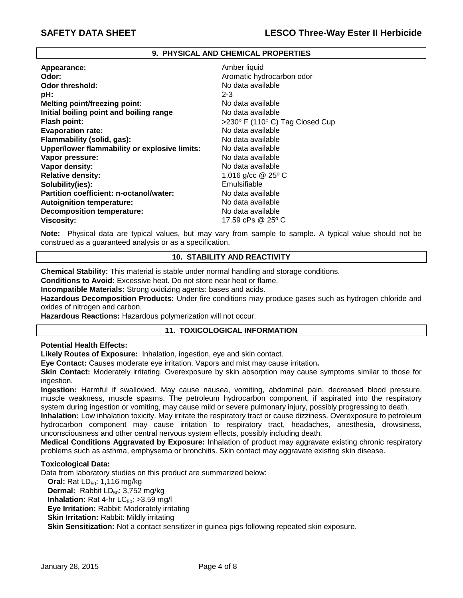#### **9. PHYSICAL AND CHEMICAL PROPERTIES**

| Appearance:                                   | Amber liquid                    |
|-----------------------------------------------|---------------------------------|
| Odor:                                         | Aromatic hydrocarbon odor       |
| <b>Odor threshold:</b>                        | No data available               |
| pH:                                           | $2 - 3$                         |
| <b>Melting point/freezing point:</b>          | No data available               |
| Initial boiling point and boiling range       | No data available               |
| <b>Flash point:</b>                           | >230° F (110° C) Tag Closed Cup |
| <b>Evaporation rate:</b>                      | No data available               |
| Flammability (solid, gas):                    | No data available               |
| Upper/lower flammability or explosive limits: | No data available               |
| Vapor pressure:                               | No data available               |
| Vapor density:                                | No data available               |
| <b>Relative density:</b>                      | 1.016 g/cc @ 25° C              |
| Solubility(ies):                              | Emulsifiable                    |
| Partition coefficient: n-octanol/water:       | No data available               |
| <b>Autoignition temperature:</b>              | No data available               |
| <b>Decomposition temperature:</b>             | No data available               |
| <b>Viscosity:</b>                             | 17.59 cPs @ 25° C               |

**Note:** Physical data are typical values, but may vary from sample to sample. A typical value should not be construed as a guaranteed analysis or as a specification.

### **10. STABILITY AND REACTIVITY**

**Chemical Stability:** This material is stable under normal handling and storage conditions.

**Conditions to Avoid:** Excessive heat. Do not store near heat or flame.

**Incompatible Materials:** Strong oxidizing agents: bases and acids.

**Hazardous Decomposition Products:** Under fire conditions may produce gases such as hydrogen chloride and oxides of nitrogen and carbon.

**Hazardous Reactions:** Hazardous polymerization will not occur.

### **11. TOXICOLOGICAL INFORMATION**

**Potential Health Effects:**

**Likely Routes of Exposure:** Inhalation, ingestion, eye and skin contact.

**Eye Contact:** Causes moderate eye irritation. Vapors and mist may cause irritation**.**

**Skin Contact:** Moderately irritating. Overexposure by skin absorption may cause symptoms similar to those for ingestion.

**Ingestion:** Harmful if swallowed. May cause nausea, vomiting, abdominal pain, decreased blood pressure, muscle weakness, muscle spasms. The petroleum hydrocarbon component, if aspirated into the respiratory system during ingestion or vomiting, may cause mild or severe pulmonary injury, possibly progressing to death.

**Inhalation:** Low inhalation toxicity. May irritate the respiratory tract or cause dizziness. Overexposure to petroleum hydrocarbon component may cause irritation to respiratory tract, headaches, anesthesia, drowsiness, unconsciousness and other central nervous system effects, possibly including death.

**Medical Conditions Aggravated by Exposure:** Inhalation of product may aggravate existing chronic respiratory problems such as asthma, emphysema or bronchitis. Skin contact may aggravate existing skin disease.

### **Toxicological Data:**

Data from laboratory studies on this product are summarized below:

**Oral:** Rat LD<sub>50</sub>: 1,116 mg/kg **Dermal:** Rabbit LD<sub>50</sub>: 3,752 mg/kg

**Inhalation:** Rat 4-hr  $LC_{50}$ : >3.59 mg/l

**Eye Irritation:** Rabbit: Moderately irritating

**Skin Irritation: Rabbit: Mildly irritating** 

**Skin Sensitization:** Not a contact sensitizer in guinea pigs following repeated skin exposure.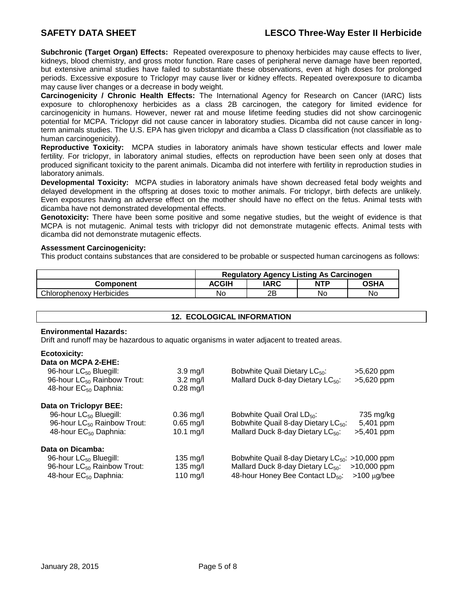**Subchronic (Target Organ) Effects:** Repeated overexposure to phenoxy herbicides may cause effects to liver, kidneys, blood chemistry, and gross motor function. Rare cases of peripheral nerve damage have been reported, but extensive animal studies have failed to substantiate these observations, even at high doses for prolonged periods. Excessive exposure to Triclopyr may cause liver or kidney effects. Repeated overexposure to dicamba may cause liver changes or a decrease in body weight.

**Carcinogenicity / Chronic Health Effects:** The International Agency for Research on Cancer (IARC) lists exposure to chlorophenoxy herbicides as a class 2B carcinogen, the category for limited evidence for carcinogenicity in humans. However, newer rat and mouse lifetime feeding studies did not show carcinogenic potential for MCPA. Triclopyr did not cause cancer in laboratory studies. Dicamba did not cause cancer in longterm animals studies. The U.S. EPA has given triclopyr and dicamba a Class D classification (not classifiable as to human carcinogenicity).

**Reproductive Toxicity:** MCPA studies in laboratory animals have shown testicular effects and lower male fertility. For triclopyr, in laboratory animal studies, effects on reproduction have been seen only at doses that produced significant toxicity to the parent animals. Dicamba did not interfere with fertility in reproduction studies in laboratory animals.

**Developmental Toxicity:** MCPA studies in laboratory animals have shown decreased fetal body weights and delayed development in the offspring at doses toxic to mother animals. For triclopyr, birth defects are unlikely. Even exposures having an adverse effect on the mother should have no effect on the fetus. Animal tests with dicamba have not demonstrated developmental effects.

**Genotoxicity:** There have been some positive and some negative studies, but the weight of evidence is that MCPA is not mutagenic. Animal tests with triclopyr did not demonstrate mutagenic effects. Animal tests with dicamba did not demonstrate mutagenic effects.

### **Assessment Carcinogenicity:**

This product contains substances that are considered to be probable or suspected human carcinogens as follows:

|                          | <b>Regulatory Agency Listing As Carcinogen</b> |      |            |      |
|--------------------------|------------------------------------------------|------|------------|------|
| Component                | ACGIH                                          | IARC | <b>NTP</b> | OSHA |
| Chlorophenoxy Herbicides | No                                             | 2Β   | No         | No   |

## **12. ECOLOGICAL INFORMATION**

## **Environmental Hazards:**

Drift and runoff may be hazardous to aquatic organisms in water adjacent to treated areas.

### **Ecotoxicity:**

| Data on MCPA 2-EHE:                     |                     |                                                      |                   |
|-----------------------------------------|---------------------|------------------------------------------------------|-------------------|
| 96-hour LC <sub>50</sub> Bluegill:      | $3.9 \text{ mg/l}$  | Bobwhite Quail Dietary LC <sub>50</sub> :            | >5,620 ppm        |
| 96-hour LC <sub>50</sub> Rainbow Trout: | $3.2 \text{ mg/l}$  | Mallard Duck 8-day Dietary LC <sub>50</sub> :        | >5,620 ppm        |
| 48-hour EC <sub>50</sub> Daphnia:       | $0.28$ mg/l         |                                                      |                   |
| Data on Triclopyr BEE:                  |                     |                                                      |                   |
| 96-hour LC <sub>50</sub> Bluegill:      | $0.36 \text{ mg/l}$ | Bobwhite Quail Oral LD <sub>50</sub> :               | 735 mg/kg         |
| 96-hour LC <sub>50</sub> Rainbow Trout: | $0.65$ mg/l         | Bobwhite Quail 8-day Dietary LC <sub>50</sub> :      | 5,401 ppm         |
| 48-hour EC <sub>50</sub> Daphnia:       | 10.1 $mg/l$         | Mallard Duck 8-day Dietary LC <sub>50</sub> :        | >5,401 ppm        |
| Data on Dicamba:                        |                     |                                                      |                   |
| 96-hour LC <sub>50</sub> Bluegill:      | $135 \text{ m}$ g/l | Bobwhite Quail 8-day Dietary $LC_{50}$ : >10,000 ppm |                   |
| 96-hour LC <sub>50</sub> Rainbow Trout: | $135 \text{ ma/l}$  | Mallard Duck 8-day Dietary LC <sub>50</sub> :        | $>10,000$ ppm     |
| 48-hour EC <sub>50</sub> Daphnia:       | 110 mg/l            | 48-hour Honey Bee Contact LD <sub>50</sub> :         | $>100 \mu g/$ bee |
|                                         |                     |                                                      |                   |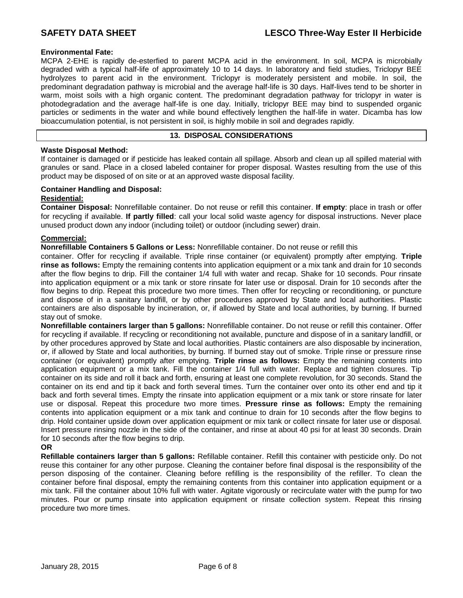## **Environmental Fate:**

MCPA 2-EHE is rapidly de-esterfied to parent MCPA acid in the environment. In soil, MCPA is microbially degraded with a typical half-life of approximately 10 to 14 days. In laboratory and field studies, Triclopyr BEE hydrolyzes to parent acid in the environment. Triclopyr is moderately persistent and mobile. In soil, the predominant degradation pathway is microbial and the average half-life is 30 days. Half-lives tend to be shorter in warm, moist soils with a high organic content. The predominant degradation pathway for triclopyr in water is photodegradation and the average half-life is one day. Initially, triclopyr BEE may bind to suspended organic particles or sediments in the water and while bound effectively lengthen the half-life in water. Dicamba has low bioaccumulation potential, is not persistent in soil, is highly mobile in soil and degrades rapidly.

## **13. DISPOSAL CONSIDERATIONS**

## **Waste Disposal Method:**

If container is damaged or if pesticide has leaked contain all spillage. Absorb and clean up all spilled material with granules or sand. Place in a closed labeled container for proper disposal. Wastes resulting from the use of this product may be disposed of on site or at an approved waste disposal facility.

### **Container Handling and Disposal:**

## **Residential:**

**Container Disposal:** Nonrefillable container. Do not reuse or refill this container. **If empty**: place in trash or offer for recycling if available. **If partly filled**: call your local solid waste agency for disposal instructions. Never place unused product down any indoor (including toilet) or outdoor (including sewer) drain.

## **Commercial:**

**Nonrefillable Containers 5 Gallons or Less:** Nonrefillable container. Do not reuse or refill this

container. Offer for recycling if available. Triple rinse container (or equivalent) promptly after emptying. **Triple rinse as follows:** Empty the remaining contents into application equipment or a mix tank and drain for 10 seconds after the flow begins to drip. Fill the container 1/4 full with water and recap. Shake for 10 seconds. Pour rinsate into application equipment or a mix tank or store rinsate for later use or disposal. Drain for 10 seconds after the flow begins to drip. Repeat this procedure two more times. Then offer for recycling or reconditioning, or puncture and dispose of in a sanitary landfill, or by other procedures approved by State and local authorities. Plastic containers are also disposable by incineration, or, if allowed by State and local authorities, by burning. If burned stay out of smoke.

**Nonrefillable containers larger than 5 gallons:** Nonrefillable container. Do not reuse or refill this container. Offer for recycling if available. If recycling or reconditioning not available, puncture and dispose of in a sanitary landfill, or by other procedures approved by State and local authorities. Plastic containers are also disposable by incineration, or, if allowed by State and local authorities, by burning. If burned stay out of smoke. Triple rinse or pressure rinse container (or equivalent) promptly after emptying. **Triple rinse as follows:** Empty the remaining contents into application equipment or a mix tank. Fill the container 1/4 full with water. Replace and tighten closures. Tip container on its side and roll it back and forth, ensuring at least one complete revolution, for 30 seconds. Stand the container on its end and tip it back and forth several times. Turn the container over onto its other end and tip it back and forth several times. Empty the rinsate into application equipment or a mix tank or store rinsate for later use or disposal. Repeat this procedure two more times. **Pressure rinse as follows:** Empty the remaining contents into application equipment or a mix tank and continue to drain for 10 seconds after the flow begins to drip. Hold container upside down over application equipment or mix tank or collect rinsate for later use or disposal. Insert pressure rinsing nozzle in the side of the container, and rinse at about 40 psi for at least 30 seconds. Drain for 10 seconds after the flow begins to drip.

## **OR**

**Refillable containers larger than 5 gallons:** Refillable container. Refill this container with pesticide only. Do not reuse this container for any other purpose. Cleaning the container before final disposal is the responsibility of the person disposing of the container. Cleaning before refilling is the responsibility of the refiller. To clean the container before final disposal, empty the remaining contents from this container into application equipment or a mix tank. Fill the container about 10% full with water. Agitate vigorously or recirculate water with the pump for two minutes. Pour or pump rinsate into application equipment or rinsate collection system. Repeat this rinsing procedure two more times.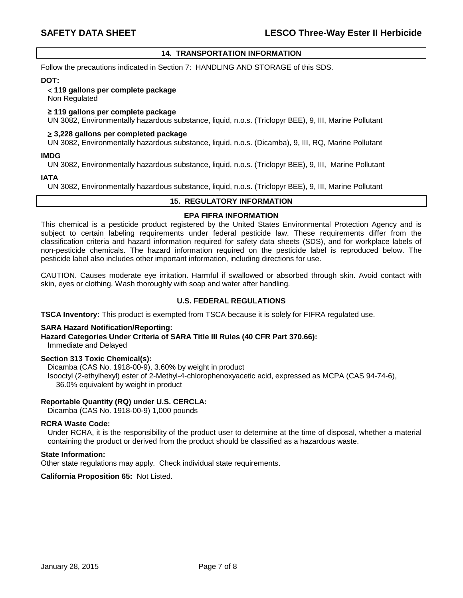## **14. TRANSPORTATION INFORMATION**

Follow the precautions indicated in Section 7: HANDLING AND STORAGE of this SDS.

#### **DOT:**

#### **119 gallons per complete package**

Non Regulated

### **≥ 119 gallons per complete package**

UN 3082, Environmentally hazardous substance, liquid, n.o.s. (Triclopyr BEE), 9, III, Marine Pollutant

#### **3,228 gallons per completed package**

UN 3082, Environmentally hazardous substance, liquid, n.o.s. (Dicamba), 9, III, RQ, Marine Pollutant

#### **IMDG**

UN 3082, Environmentally hazardous substance, liquid, n.o.s. (Triclopyr BEE), 9, III, Marine Pollutant

#### **IATA**

UN 3082, Environmentally hazardous substance, liquid, n.o.s. (Triclopyr BEE), 9, III, Marine Pollutant

## **15. REGULATORY INFORMATION**

## **EPA FIFRA INFORMATION**

This chemical is a pesticide product registered by the United States Environmental Protection Agency and is subject to certain labeling requirements under federal pesticide law. These requirements differ from the classification criteria and hazard information required for safety data sheets (SDS), and for workplace labels of non-pesticide chemicals. The hazard information required on the pesticide label is reproduced below. The pesticide label also includes other important information, including directions for use.

CAUTION. Causes moderate eye irritation. Harmful if swallowed or absorbed through skin. Avoid contact with skin, eyes or clothing. Wash thoroughly with soap and water after handling.

## **U.S. FEDERAL REGULATIONS**

**TSCA Inventory:** This product is exempted from TSCA because it is solely for FIFRA regulated use.

### **SARA Hazard Notification/Reporting:**

**Hazard Categories Under Criteria of SARA Title III Rules (40 CFR Part 370.66):** Immediate and Delayed

### **Section 313 Toxic Chemical(s):**

Dicamba (CAS No. 1918-00-9), 3.60% by weight in product Isooctyl (2-ethylhexyl) ester of 2-Methyl-4-chlorophenoxyacetic acid, expressed as MCPA (CAS 94-74-6), 36.0% equivalent by weight in product

### **Reportable Quantity (RQ) under U.S. CERCLA:**

Dicamba (CAS No. 1918-00-9) 1,000 pounds

#### **RCRA Waste Code:**

Under RCRA, it is the responsibility of the product user to determine at the time of disposal, whether a material containing the product or derived from the product should be classified as a hazardous waste.

#### **State Information:**

Other state regulations may apply. Check individual state requirements.

**California Proposition 65:** Not Listed.